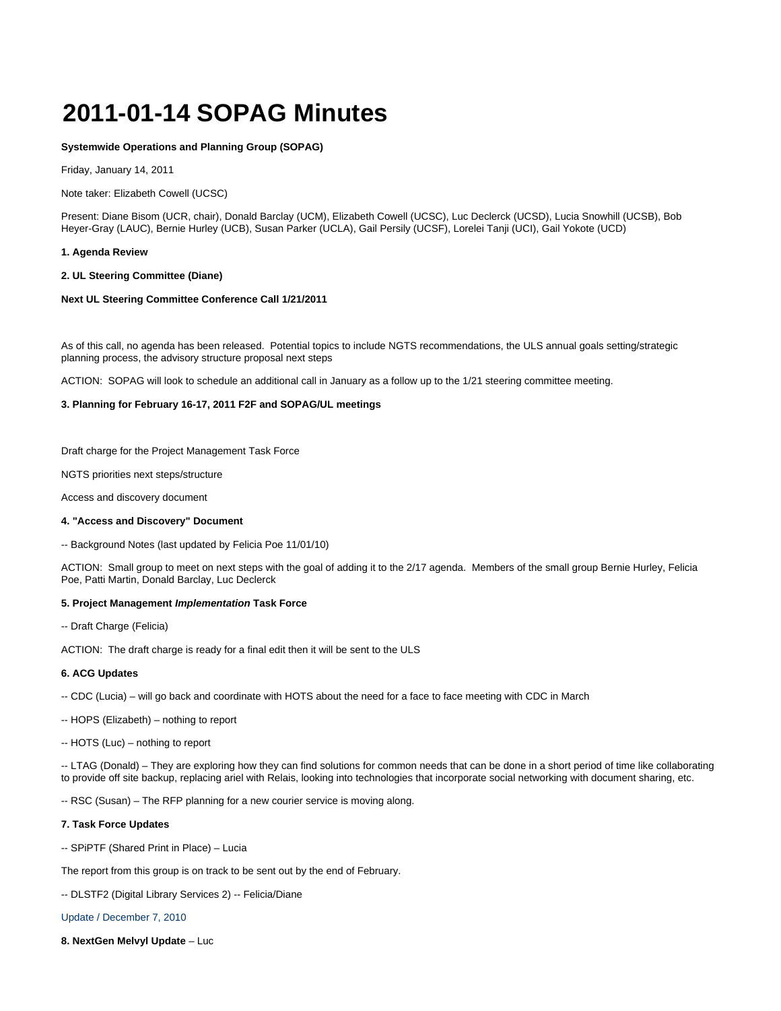# **2011-01-14 SOPAG Minutes**

## **Systemwide Operations and Planning Group (SOPAG)**

Friday, January 14, 2011

Note taker: Elizabeth Cowell (UCSC)

Present: Diane Bisom (UCR, chair), Donald Barclay (UCM), Elizabeth Cowell (UCSC), Luc Declerck (UCSD), Lucia Snowhill (UCSB), Bob Heyer-Gray (LAUC), Bernie Hurley (UCB), Susan Parker (UCLA), Gail Persily (UCSF), Lorelei Tanji (UCI), Gail Yokote (UCD)

## **1. Agenda Review**

## **2. UL Steering Committee (Diane)**

# **Next UL Steering Committee Conference Call 1/21/2011**

As of this call, no agenda has been released. Potential topics to include NGTS recommendations, the ULS annual goals setting/strategic planning process, the advisory structure proposal next steps

ACTION: SOPAG will look to schedule an additional call in January as a follow up to the 1/21 steering committee meeting.

# **3. Planning for February 16-17, 2011 F2F and SOPAG/UL meetings**

Draft charge for the Project Management Task Force

NGTS priorities next steps/structure

Access and discovery document

## **4. "Access and Discovery" Document**

-- Background Notes (last updated by Felicia Poe 11/01/10)

ACTION: Small group to meet on next steps with the goal of adding it to the 2/17 agenda. Members of the small group Bernie Hurley, Felicia Poe, Patti Martin, Donald Barclay, Luc Declerck

# **5. Project Management Implementation Task Force**

-- Draft Charge (Felicia)

ACTION: The draft charge is ready for a final edit then it will be sent to the ULS

## **6. ACG Updates**

- -- CDC (Lucia) will go back and coordinate with HOTS about the need for a face to face meeting with CDC in March
- -- HOPS (Elizabeth) nothing to report
- -- HOTS (Luc) nothing to report

-- LTAG (Donald) – They are exploring how they can find solutions for common needs that can be done in a short period of time like collaborating to provide off site backup, replacing ariel with Relais, looking into technologies that incorporate social networking with document sharing, etc.

-- RSC (Susan) – The RFP planning for a new courier service is moving along.

## **7. Task Force Updates**

-- SPiPTF (Shared Print in Place) – Lucia

The report from this group is on track to be sent out by the end of February.

-- DLSTF2 (Digital Library Services 2) -- Felicia/Diane

## [Update / December 7, 2010](https://wiki.library.ucsf.edu/download/attachments/34931901/DLSTF2+Update+2010+12+07.docx?version=1&modificationDate=1292461780000)

**8. NextGen Melvyl Update** – Luc